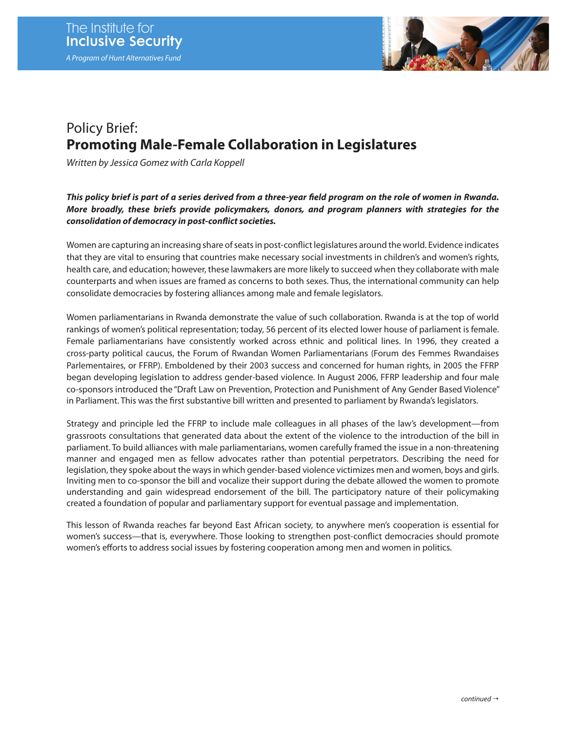

## Policy Brief: **Promoting Male-Female Collaboration in Legislatures**

*Written by Jessica Gomez with Carla Koppell*

## *This policy brief is part of a series derived from a three-year field program on the role of women in Rwanda. More broadly, these briefs provide policymakers, donors, and program planners with strategies for the consolidation of democracy in post-conflict societies.*

Women are capturing an increasing share of seats in post-conflict legislatures around the world. Evidence indicates that they are vital to ensuring that countries make necessary social investments in children's and women's rights, health care, and education; however, these lawmakers are more likely to succeed when they collaborate with male counterparts and when issues are framed as concerns to both sexes. Thus, the international community can help consolidate democracies by fostering alliances among male and female legislators.

Women parliamentarians in Rwanda demonstrate the value of such collaboration. Rwanda is at the top of world rankings of women's political representation; today, 56 percent of its elected lower house of parliament is female. Female parliamentarians have consistently worked across ethnic and political lines. In 1996, they created a cross-party political caucus, the Forum of Rwandan Women Parliamentarians (Forum des Femmes Rwandaises Parlementaires, or FFRP). Emboldened by their 2003 success and concerned for human rights, in 2005 the FFRP began developing legislation to address gender-based violence. In August 2006, FFRP leadership and four male co-sponsors introduced the "Draft Law on Prevention, Protection and Punishment of Any Gender Based Violence" in Parliament. This was the first substantive bill written and presented to parliament by Rwanda's legislators.

Strategy and principle led the FFRP to include male colleagues in all phases of the law's development—from grassroots consultations that generated data about the extent of the violence to the introduction of the bill in parliament. To build alliances with male parliamentarians, women carefully framed the issue in a non-threatening manner and engaged men as fellow advocates rather than potential perpetrators. Describing the need for legislation, they spoke about the ways in which gender-based violence victimizes men and women, boys and girls. Inviting men to co-sponsor the bill and vocalize their support during the debate allowed the women to promote understanding and gain widespread endorsement of the bill. The participatory nature of their policymaking created a foundation of popular and parliamentary support for eventual passage and implementation.

This lesson of Rwanda reaches far beyond East African society, to anywhere men's cooperation is essential for women's success—that is, everywhere. Those looking to strengthen post-conflict democracies should promote women's efforts to address social issues by fostering cooperation among men and women in politics.